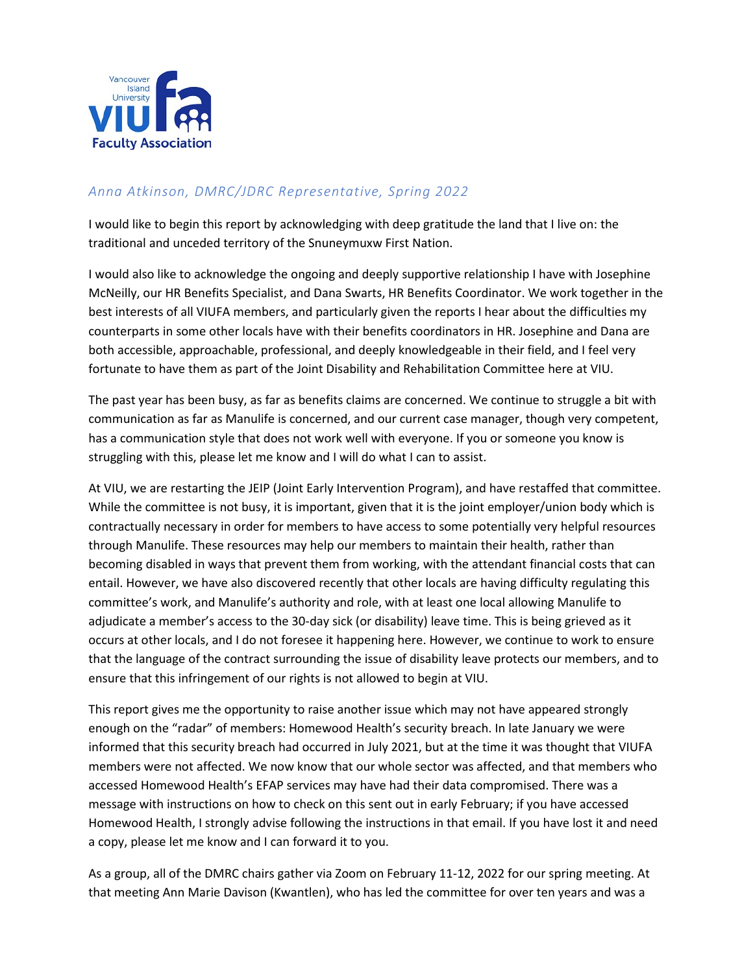

## *Anna Atkinson, DMRC/JDRC Representative, Spring 2022*

I would like to begin this report by acknowledging with deep gratitude the land that I live on: the traditional and unceded territory of the Snuneymuxw First Nation.

I would also like to acknowledge the ongoing and deeply supportive relationship I have with Josephine McNeilly, our HR Benefits Specialist, and Dana Swarts, HR Benefits Coordinator. We work together in the best interests of all VIUFA members, and particularly given the reports I hear about the difficulties my counterparts in some other locals have with their benefits coordinators in HR. Josephine and Dana are both accessible, approachable, professional, and deeply knowledgeable in their field, and I feel very fortunate to have them as part of the Joint Disability and Rehabilitation Committee here at VIU.

The past year has been busy, as far as benefits claims are concerned. We continue to struggle a bit with communication as far as Manulife is concerned, and our current case manager, though very competent, has a communication style that does not work well with everyone. If you or someone you know is struggling with this, please let me know and I will do what I can to assist.

At VIU, we are restarting the JEIP (Joint Early Intervention Program), and have restaffed that committee. While the committee is not busy, it is important, given that it is the joint employer/union body which is contractually necessary in order for members to have access to some potentially very helpful resources through Manulife. These resources may help our members to maintain their health, rather than becoming disabled in ways that prevent them from working, with the attendant financial costs that can entail. However, we have also discovered recently that other locals are having difficulty regulating this committee's work, and Manulife's authority and role, with at least one local allowing Manulife to adjudicate a member's access to the 30-day sick (or disability) leave time. This is being grieved as it occurs at other locals, and I do not foresee it happening here. However, we continue to work to ensure that the language of the contract surrounding the issue of disability leave protects our members, and to ensure that this infringement of our rights is not allowed to begin at VIU.

This report gives me the opportunity to raise another issue which may not have appeared strongly enough on the "radar" of members: Homewood Health's security breach. In late January we were informed that this security breach had occurred in July 2021, but at the time it was thought that VIUFA members were not affected. We now know that our whole sector was affected, and that members who accessed Homewood Health's EFAP services may have had their data compromised. There was a message with instructions on how to check on this sent out in early February; if you have accessed Homewood Health, I strongly advise following the instructions in that email. If you have lost it and need a copy, please let me know and I can forward it to you.

As a group, all of the DMRC chairs gather via Zoom on February 11-12, 2022 for our spring meeting. At that meeting Ann Marie Davison (Kwantlen), who has led the committee for over ten years and was a